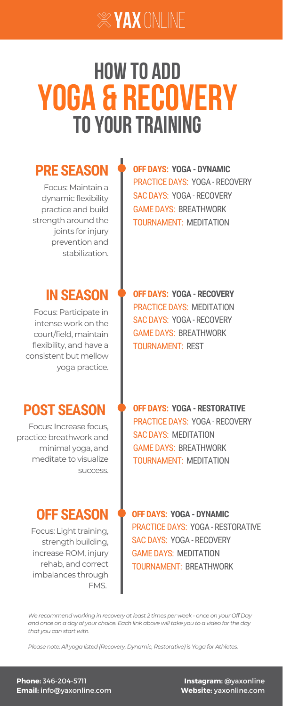**OFF DAYS: YOGA - [DYNAMIC](https://yaxonline.com/programs/yoga-for-athletes-dynamic-full-body)** PRACTICE DAYS: YOGA - [RECOVERY](https://yaxonline.com/programs/yoga-for-athletes-recovery-before-plyometrics) SAC DAYS: YOGA - [RECOVERY](https://yaxonline.com/programs/yoga-for-athletes-recovery-before-sac) GAME DAYS: [BREATHWORK](https://yaxonline.com/programs/breathwork-360-breath) [TOURNAMENT:](https://yaxonline.com/programs/meditation-body-scan) MEDITATION

Focus: Maintain a dynamic flexibility practice and build strength around the joints for injury prevention and stabilization.

Focus: Increase focus, practice breathwork and minimal yoga, and meditate to visualize success.

**IN SEASON • OFF DAYS: YOGA - [RECOVERY](https://yaxonline.com/programs/yoga-for-athletes-recovery-full-body)** PRACTICE DAYS: [MEDITATION](https://yaxonline.com/programs/meditation-overcoming-performance-anxiety) SAC DAYS: YOGA - [RECOVERY](https://yaxonline.com/programs/yoga-for-athletes-recovery-hips-hamstrings) GAME DAYS: [BREATHWORK](https://yaxonline.com/programs/breathwork-pregame) TOURNAMENT: REST

Focus: Light training, strength building, increase ROM, injury rehab, and correct imbalances through FMS.

Focus: Participate in intense work on the court/field, maintain flexibility, and have a consistent but mellow yoga practice.

### **PRE SEASON**

**POST SEASON**

### **OFF SEASON**

**OFF DAYS: YOGA - [RESTORATIVE](https://yaxonline.com/programs/yoga-for-athletes-restorative-glutes-hips-legs)** PRACTICE DAYS: YOGA - [RECOVERY](https://yaxonline.com/programs/cool-down-hips-hamstrings-adductors) SAC DAYS: [MEDITATION](https://yaxonline.com/programs/resilient-mindset-series) GAME DAYS: [BREATHWORK](https://yaxonline.com/programs/breathwork-box) [TOURNAMENT:](https://yaxonline.com/programs/meditation-focus) MEDITATION

**OFF DAYS: YOGA - [DYNAMIC](https://yaxonline.com/programs/yoga-for-athletes-dynamic-full-body-mobility)** PRACTICE DAYS: YOGA - [RESTORATIVE](https://yaxonline.com/programs/yoga-for-athletes-restorative-rest) SAC DAYS: YOGA - [RECOVERY](https://yaxonline.com/programs/yoga-for-athletes-recovery-traps-lats) GAME DAYS: [MEDITATION](https://yaxonline.com/programs/meditation-reset) [TOURNAMENT:](https://yaxonline.com/programs/breathwork-triangle) BREATHWORK

*We recommend working in recovery at least 2 times per week - once on your Off Day* and once on a day of your choice. Each link above will take you to a video for the day *that you can start with.*

*Please note: All yoga listed (Recovery, Dynamic, Restorative) is Yoga for Athletes.*

**Instagram:** @yaxonline **Website:** yaxonline.com

**Phone:** 346-204-5711 **Email:** info@yaxonline.com



# **TOYOUR TRAINING yoga & Recovery HOW TO ADD**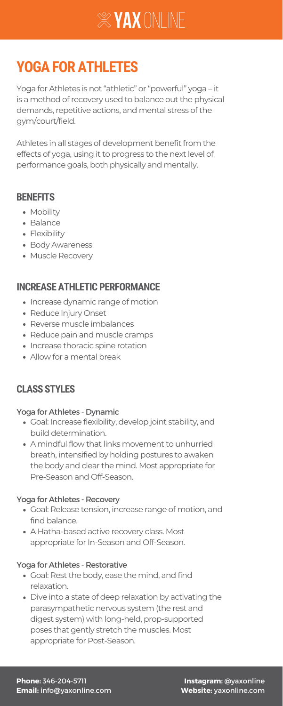Yoga for Athletes is not "athletic" or "powerful" yoga – it is a method of recovery used to balance out the physical demands, repetitive actions, and mental stress of the gym/court/field.

Athletes in all stages of development benefit from the effects of yoga, using it to progress to the next level of performance goals, both physically and mentally.

- Increase dynamic range of motion
- Reduce Injury Onset
- Reverse muscle imbalances
- Reduce pain and muscle cramps
- Increase thoracic spine rotation
- Allow for a mental break



## **YOGA FOR ATHLETES**

#### **BENEFITS**

- Mobility
- Balance
- Flexibility
- Body Awareness
- Muscle Recovery

### **INCREASE ATHLETIC PERFORMANCE**

**Instagram:** @yaxonline **Website:** yaxonline.com

**Phone:** 346-204-5711 **Email:** info@yaxonline.com

- Goal: Increase flexibility, develop joint stability, and
	- build determination.
- A mindful flow that links movement to unhurried breath, intensified by holding postures to awaken the body and clear the mind. Most appropriate for Pre-Season and Off-Season.

- Goal: Release tension, increase range of motion, and find balance.
- A Hatha-based active recovery class. Most appropriate for In-Season and Off-Season.

- Goal: Rest the body, ease the mind, and find relaxation.
- Dive into a state of deep relaxation by activating the parasympathetic nervous system (the rest and digest system) with long-held, prop-supported poses that gently stretch the muscles. Most appropriate for Post-Season.

#### Yoga for Athletes - Dynamic

#### Yoga for Athletes - Recovery

#### Yoga for Athletes - Restorative

### **CLASS STYLES**